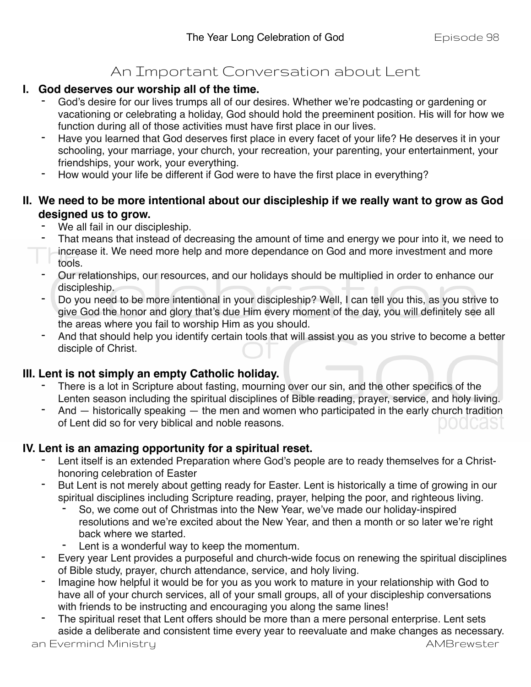# An Important Conversation about Lent

### **I. God deserves our worship all of the time.**

- God's desire for our lives trumps all of our desires. Whether we're podcasting or gardening or vacationing or celebrating a holiday, God should hold the preeminent position. His will for how we function during all of those activities must have first place in our lives.
- Have you learned that God deserves first place in every facet of your life? He deserves it in your schooling, your marriage, your church, your recreation, your parenting, your entertainment, your friendships, your work, your everything.
- How would your life be different if God were to have the first place in everything?

## **II. We need to be more intentional about our discipleship if we really want to grow as God designed us to grow.**

- We all fail in our discipleship.
- That means that instead of decreasing the amount of time and energy we pour into it, we need to
- increase it. We need more help and more dependance on God and more investment and more tools.
- Our relationships, our resources, and our holidays should be multiplied in order to enhance our discipleship.
- Do you need to be more intentional in your discipleship? Well, I can tell you this, as you strive to give God the honor and glory that's due Him every moment of the day, you will definitely see all the areas where you fail to worship Him as you should.
- And that should help you identify certain tools that will assist you as you strive to become a better disciple of Christ.

# **III. Lent is not simply an empty Catholic holiday.**

- There is a lot in Scripture about fasting, mourning over our sin, and the other specifics of the Lenten season including the spiritual disciplines of Bible reading, prayer, service, and holy living.
- And  $-$  historically speaking  $-$  the men and women who participated in the early church tradition of Lent did so for very biblical and noble reasons. JOUGASL

# **IV. Lent is an amazing opportunity for a spiritual reset.**

- Lent itself is an extended Preparation where God's people are to ready themselves for a Christhonoring celebration of Easter
- But Lent is not merely about getting ready for Easter. Lent is historically a time of growing in our spiritual disciplines including Scripture reading, prayer, helping the poor, and righteous living.
	- So, we come out of Christmas into the New Year, we've made our holiday-inspired resolutions and we're excited about the New Year, and then a month or so later we're right back where we started.
	- Lent is a wonderful way to keep the momentum.
- Every year Lent provides a purposeful and church-wide focus on renewing the spiritual disciplines of Bible study, prayer, church attendance, service, and holy living.
- Imagine how helpful it would be for you as you work to mature in your relationship with God to have all of your church services, all of your small groups, all of your discipleship conversations with friends to be instructing and encouraging you along the same lines!
- The spiritual reset that Lent offers should be more than a mere personal enterprise. Lent sets aside a deliberate and consistent time every year to reevaluate and make changes as necessary.